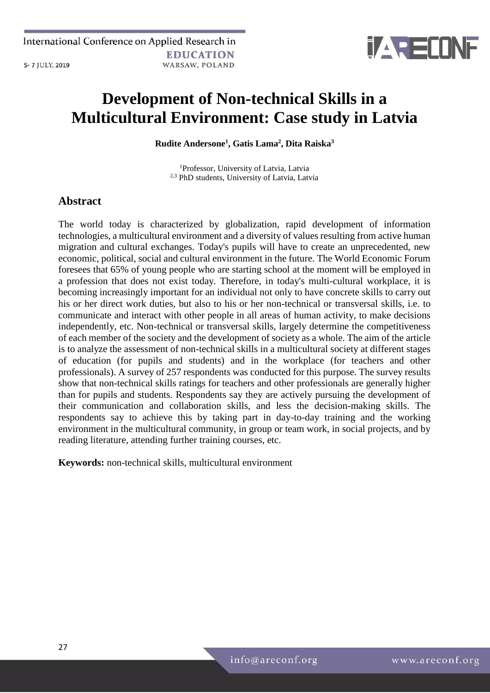

# **Development of Non-technical Skills in a Multicultural Environment: Case study in Latvia**

**Rudite Andersone<sup>1</sup> , Gatis Lama<sup>2</sup> , Dita Raiska<sup>3</sup>**

<sup>1</sup>Professor, University of Latvia, Latvia 2,3 PhD students, University of Latvia, Latvia

# **Abstract**

The world today is characterized by globalization, rapid development of information technologies, a multicultural environment and a diversity of values resulting from active human migration and cultural exchanges. Today's pupils will have to create an unprecedented, new economic, political, social and cultural environment in the future. The World Economic Forum foresees that 65% of young people who are starting school at the moment will be employed in a profession that does not exist today. Therefore, in today's multi-cultural workplace, it is becoming increasingly important for an individual not only to have concrete skills to carry out his or her direct work duties, but also to his or her non-technical or transversal skills, i.e. to communicate and interact with other people in all areas of human activity, to make decisions independently, etc. Non-technical or transversal skills, largely determine the competitiveness of each member of the society and the development of society as a whole. The aim of the article is to analyze the assessment of non-technical skills in a multicultural society at different stages of education (for pupils and students) and in the workplace (for teachers and other professionals). A survey of 257 respondents was conducted for this purpose. The survey results show that non-technical skills ratings for teachers and other professionals are generally higher than for pupils and students. Respondents say they are actively pursuing the development of their communication and collaboration skills, and less the decision-making skills. The respondents say to achieve this by taking part in day-to-day training and the working environment in the multicultural community, in group or team work, in social projects, and by reading literature, attending further training courses, etc.

**Keywords:** non-technical skills, multicultural environment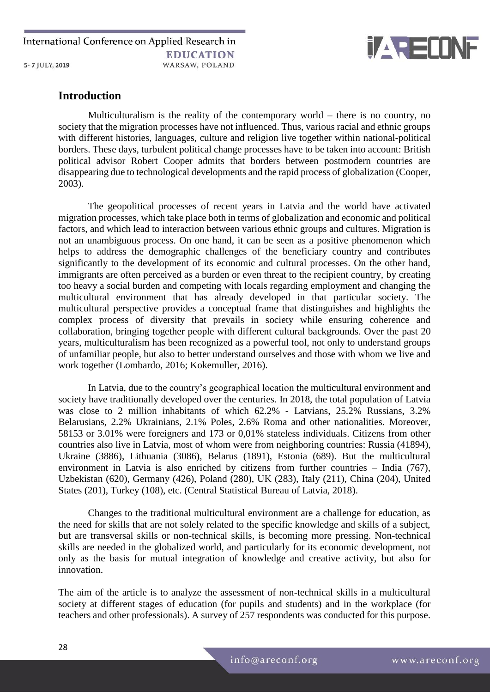

## **Introduction**

Multiculturalism is the reality of the contemporary world – there is no country, no society that the migration processes have not influenced. Thus, various racial and ethnic groups with different histories, languages, culture and religion live together within national-political borders. These days, turbulent political change processes have to be taken into account: British political advisor Robert Cooper admits that borders between postmodern countries are disappearing due to technological developments and the rapid process of globalization (Cooper, 2003).

The geopolitical processes of recent years in Latvia and the world have activated migration processes, which take place both in terms of globalization and economic and political factors, and which lead to interaction between various ethnic groups and cultures. Migration is not an unambiguous process. On one hand, it can be seen as a positive phenomenon which helps to address the demographic challenges of the beneficiary country and contributes significantly to the development of its economic and cultural processes. On the other hand, immigrants are often perceived as a burden or even threat to the recipient country, by creating too heavy a social burden and competing with locals regarding employment and changing the multicultural environment that has already developed in that particular society. The multicultural perspective provides a conceptual frame that distinguishes and highlights the complex process of diversity that prevails in society while ensuring coherence and collaboration, bringing together people with different cultural backgrounds. Over the past 20 years, multiculturalism has been recognized as a powerful tool, not only to understand groups of unfamiliar people, but also to better understand ourselves and those with whom we live and work together (Lombardo, 2016; Kokemuller, 2016).

In Latvia, due to the country's geographical location the multicultural environment and society have traditionally developed over the centuries. In 2018, the total population of Latvia was close to 2 million inhabitants of which 62.2% - Latvians, 25.2% Russians, 3.2% Belarusians, 2.2% Ukrainians, 2.1% Poles, 2.6% Roma and other nationalities. Moreover, 58153 or 3.01% were foreigners and 173 or 0,01% stateless individuals. Citizens from other countries also live in Latvia, most of whom were from neighboring countries: Russia (41894), Ukraine (3886), Lithuania (3086), Belarus (1891), Estonia (689). But the multicultural environment in Latvia is also enriched by citizens from further countries – India (767), Uzbekistan (620), Germany (426), Poland (280), UK (283), Italy (211), China (204), United States (201), Turkey (108), etc. (Central Statistical Bureau of Latvia, 2018).

Changes to the traditional multicultural environment are a challenge for education, as the need for skills that are not solely related to the specific knowledge and skills of a subject, but are transversal skills or non-technical skills, is becoming more pressing. Non-technical skills are needed in the globalized world, and particularly for its economic development, not only as the basis for mutual integration of knowledge and creative activity, but also for innovation.

The aim of the article is to analyze the assessment of non-technical skills in a multicultural society at different stages of education (for pupils and students) and in the workplace (for teachers and other professionals). A survey of 257 respondents was conducted for this purpose.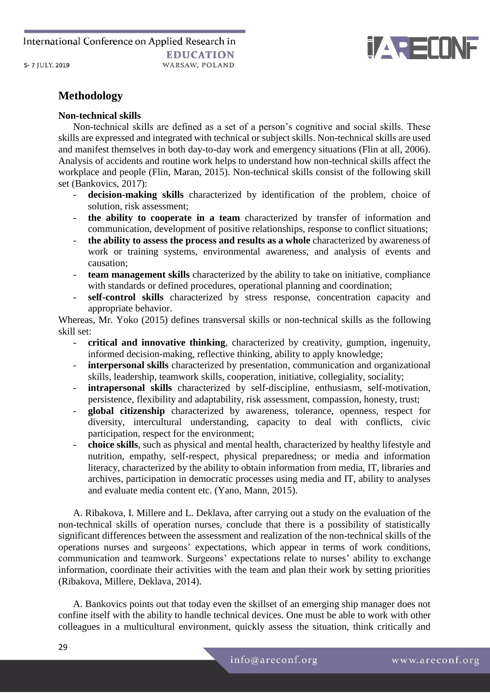

# **Methodology**

### **Non-technical skills**

Non-technical skills are defined as a set of a person's cognitive and social skills. These skills are expressed and integrated with technical or subject skills. Non-technical skills are used and manifest themselves in both day-to-day work and emergency situations (Flin at all, 2006). Analysis of accidents and routine work helps to understand how non-technical skills affect the workplace and people (Flin, Maran, 2015). Non-technical skills consist of the following skill set (Bankovics, 2017):

- decision-making skills characterized by identification of the problem, choice of solution, risk assessment;
- **the ability to cooperate in a team** characterized by transfer of information and communication, development of positive relationships, response to conflict situations;
- **the ability to assess the process and results as a whole** characterized by awareness of work or training systems, environmental awareness, and analysis of events and causation;
- **team management skills** characterized by the ability to take on initiative, compliance with standards or defined procedures, operational planning and coordination;
- **self-control skills** characterized by stress response, concentration capacity and appropriate behavior.

Whereas, Mr. Yoko (2015) defines transversal skills or non-technical skills as the following skill set:

- **critical and innovative thinking**, characterized by creativity, gumption, ingenuity, informed decision-making, reflective thinking, ability to apply knowledge;
- **interpersonal skills** characterized by presentation, communication and organizational skills, leadership, teamwork skills, cooperation, initiative, collegiality, sociality;
- **intrapersonal skills** characterized by self-discipline, enthusiasm, self-motivation, persistence, flexibility and adaptability, risk assessment, compassion, honesty, trust;
- **global citizenship** characterized by awareness, tolerance, openness, respect for diversity, intercultural understanding, capacity to deal with conflicts, civic participation, respect for the environment;
- **choice skills**, such as physical and mental health, characterized by healthy lifestyle and nutrition, empathy, self-respect, physical preparedness; or media and information literacy, characterized by the ability to obtain information from media, IT, libraries and archives, participation in democratic processes using media and IT, ability to analyses and evaluate media content etc. (Yano, Mann, 2015).

A. Ribakova, I. Millere and L. Deklava, after carrying out a study on the evaluation of the non-technical skills of operation nurses, conclude that there is a possibility of statistically significant differences between the assessment and realization of the non-technical skills of the operations nurses and surgeons' expectations, which appear in terms of work conditions, communication and teamwork. Surgeons' expectations relate to nurses' ability to exchange information, coordinate their activities with the team and plan their work by setting priorities (Ribakova, Millere, Deklava, 2014).

A. Bankovics points out that today even the skillset of an emerging ship manager does not confine itself with the ability to handle technical devices. One must be able to work with other colleagues in a multicultural environment, quickly assess the situation, think critically and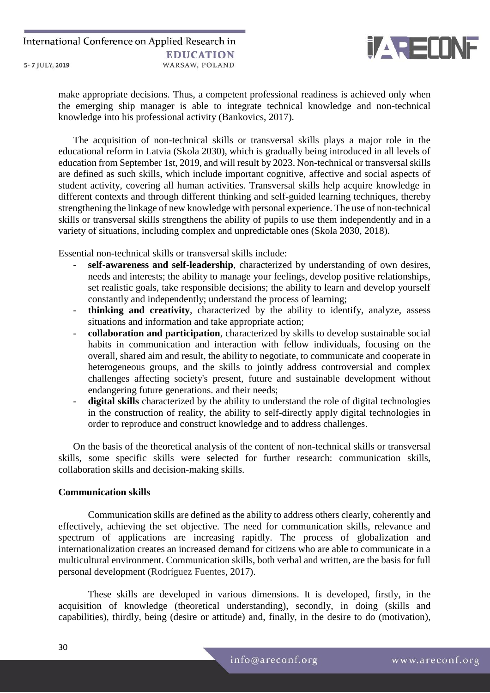

make appropriate decisions. Thus, a competent professional readiness is achieved only when the emerging ship manager is able to integrate technical knowledge and non-technical knowledge into his professional activity (Bankovics, 2017).

The acquisition of non-technical skills or transversal skills plays a major role in the educational reform in Latvia (Skola 2030), which is gradually being introduced in all levels of education from September 1st, 2019, and will result by 2023. Non-technical or transversal skills are defined as such skills, which include important cognitive, affective and social aspects of student activity, covering all human activities. Transversal skills help acquire knowledge in different contexts and through different thinking and self-guided learning techniques, thereby strengthening the linkage of new knowledge with personal experience. The use of non-technical skills or transversal skills strengthens the ability of pupils to use them independently and in a variety of situations, including complex and unpredictable ones (Skola 2030, 2018).

Essential non-technical skills or transversal skills include:

- self-awareness and self-leadership, characterized by understanding of own desires, needs and interests; the ability to manage your feelings, develop positive relationships, set realistic goals, take responsible decisions; the ability to learn and develop yourself constantly and independently; understand the process of learning;
- **thinking and creativity**, characterized by the ability to identify, analyze, assess situations and information and take appropriate action;
- **collaboration and participation**, characterized by skills to develop sustainable social habits in communication and interaction with fellow individuals, focusing on the overall, shared aim and result, the ability to negotiate, to communicate and cooperate in heterogeneous groups, and the skills to jointly address controversial and complex challenges affecting society's present, future and sustainable development without endangering future generations. and their needs;
- **digital skills** characterized by the ability to understand the role of digital technologies in the construction of reality, the ability to self-directly apply digital technologies in order to reproduce and construct knowledge and to address challenges.

On the basis of the theoretical analysis of the content of non-technical skills or transversal skills, some specific skills were selected for further research: communication skills, collaboration skills and decision-making skills.

### **Communication skills**

Communication skills are defined as the ability to address others clearly, coherently and effectively, achieving the set objective. The need for communication skills, relevance and spectrum of applications are increasing rapidly. The process of globalization and internationalization creates an increased demand for citizens who are able to communicate in a multicultural environment. Communication skills, both verbal and written, are the basis for full personal development (Rodríguez Fuentes, 2017).

These skills are developed in various dimensions. It is developed, firstly, in the acquisition of knowledge (theoretical understanding), secondly, in doing (skills and capabilities), thirdly, being (desire or attitude) and, finally, in the desire to do (motivation),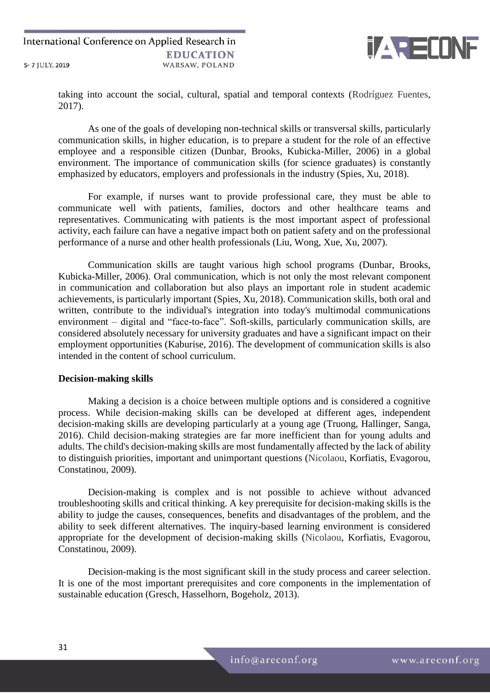

taking into account the social, cultural, spatial and temporal contexts (Rodríguez Fuentes, 2017).

As one of the goals of developing non-technical skills or transversal skills, particularly communication skills, in higher education, is to prepare a student for the role of an effective employee and a responsible citizen (Dunbar, Brooks, Kubicka-Miller, 2006) in a global environment. The importance of communication skills (for science graduates) is constantly emphasized by educators, employers and professionals in the industry (Spies, Xu, 2018).

For example, if nurses want to provide professional care, they must be able to communicate well with patients, families, doctors and other healthcare teams and representatives. Communicating with patients is the most important aspect of professional activity, each failure can have a negative impact both on patient safety and on the professional performance of a nurse and other health professionals (Liu, Wong, Xue, Xu, 2007).

Communication skills are taught various high school programs (Dunbar, Brooks, Kubicka-Miller, 2006). Oral communication, which is not only the most relevant component in communication and collaboration but also plays an important role in student academic achievements, is particularly important (Spies, Xu, 2018). Communication skills, both oral and written, contribute to the individual's integration into today's multimodal communications environment – digital and "face-to-face". Soft-skills, particularly communication skills, are considered absolutely necessary for university graduates and have a significant impact on their employment opportunities (Kaburise, 2016). The development of communication skills is also intended in the content of school curriculum.

#### **Decision-making skills**

Making a decision is a choice between multiple options and is considered a cognitive process. While decision-making skills can be developed at different ages, independent decision-making skills are developing particularly at a young age (Truong, Hallinger, Sanga, 2016). Child decision-making strategies are far more inefficient than for young adults and adults. The child's decision-making skills are most fundamentally affected by the lack of ability to distinguish priorities, important and unimportant questions (Nicolaou, Korfiatis, Evagorou, Constatinou, 2009).

Decision-making is complex and is not possible to achieve without advanced troubleshooting skills and critical thinking. A key prerequisite for decision-making skills is the ability to judge the causes, consequences, benefits and disadvantages of the problem, and the ability to seek different alternatives. The inquiry-based learning environment is considered appropriate for the development of decision-making skills (Nicolaou, Korfiatis, Evagorou, Constatinou, 2009).

Decision-making is the most significant skill in the study process and career selection. It is one of the most important prerequisites and core components in the implementation of sustainable education (Gresch, Hasselhorn, Bogeholz, 2013).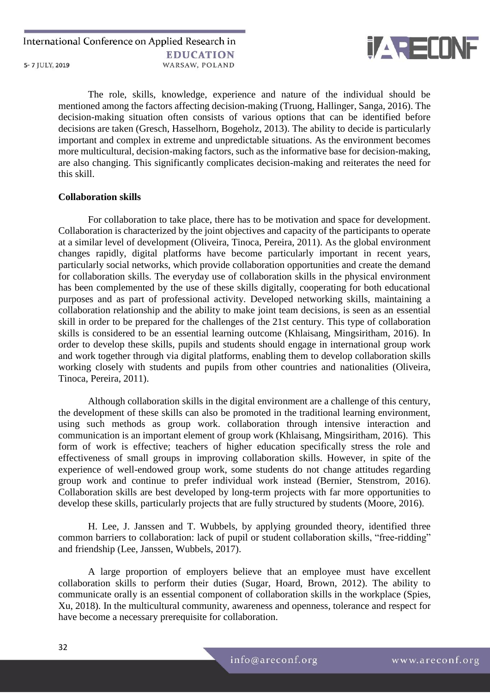

The role, skills, knowledge, experience and nature of the individual should be mentioned among the factors affecting decision-making (Truong, Hallinger, Sanga, 2016). The decision-making situation often consists of various options that can be identified before decisions are taken (Gresch, Hasselhorn, Bogeholz, 2013). The ability to decide is particularly important and complex in extreme and unpredictable situations. As the environment becomes more multicultural, decision-making factors, such as the informative base for decision-making, are also changing. This significantly complicates decision-making and reiterates the need for this skill.

### **Collaboration skills**

For collaboration to take place, there has to be motivation and space for development. Collaboration is characterized by the joint objectives and capacity of the participants to operate at a similar level of development (Oliveira, Tinoca, Pereira, 2011). As the global environment changes rapidly, digital platforms have become particularly important in recent years, particularly social networks, which provide collaboration opportunities and create the demand for collaboration skills. The everyday use of collaboration skills in the physical environment has been complemented by the use of these skills digitally, cooperating for both educational purposes and as part of professional activity. Developed networking skills, maintaining a collaboration relationship and the ability to make joint team decisions, is seen as an essential skill in order to be prepared for the challenges of the 21st century. This type of collaboration skills is considered to be an essential learning outcome (Khlaisang, Mingsiritham, 2016). In order to develop these skills, pupils and students should engage in international group work and work together through via digital platforms, enabling them to develop collaboration skills working closely with students and pupils from other countries and nationalities (Oliveira, Tinoca, Pereira, 2011).

Although collaboration skills in the digital environment are a challenge of this century, the development of these skills can also be promoted in the traditional learning environment, using such methods as group work. collaboration through intensive interaction and communication is an important element of group work (Khlaisang, Mingsiritham, 2016). This form of work is effective; teachers of higher education specifically stress the role and effectiveness of small groups in improving collaboration skills. However, in spite of the experience of well-endowed group work, some students do not change attitudes regarding group work and continue to prefer individual work instead (Bernier, Stenstrom, 2016). Collaboration skills are best developed by long-term projects with far more opportunities to develop these skills, particularly projects that are fully structured by students (Moore, 2016).

H. Lee, J. Janssen and T. Wubbels, by applying grounded theory, identified three common barriers to collaboration: lack of pupil or student collaboration skills, "free-ridding" and friendship (Lee, Janssen, Wubbels, 2017).

A large proportion of employers believe that an employee must have excellent collaboration skills to perform their duties (Sugar, Hoard, Brown, 2012). The ability to communicate orally is an essential component of collaboration skills in the workplace (Spies, Xu, 2018). In the multicultural community, awareness and openness, tolerance and respect for have become a necessary prerequisite for collaboration.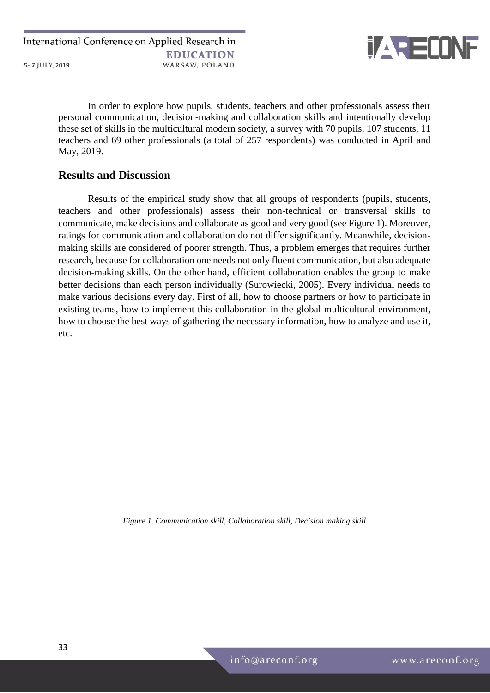

In order to explore how pupils, students, teachers and other professionals assess their personal communication, decision-making and collaboration skills and intentionally develop these set of skills in the multicultural modern society, a survey with 70 pupils, 107 students, 11 teachers and 69 other professionals (a total of 257 respondents) was conducted in April and May, 2019.

### **Results and Discussion**

Results of the empirical study show that all groups of respondents (pupils, students, teachers and other professionals) assess their non-technical or transversal skills to communicate, make decisions and collaborate as good and very good (see Figure 1). Moreover, ratings for communication and collaboration do not differ significantly. Meanwhile, decisionmaking skills are considered of poorer strength. Thus, a problem emerges that requires further research, because for collaboration one needs not only fluent communication, but also adequate decision-making skills. On the other hand, efficient collaboration enables the group to make better decisions than each person individually (Surowiecki, 2005). Every individual needs to make various decisions every day. First of all, how to choose partners or how to participate in existing teams, how to implement this collaboration in the global multicultural environment, how to choose the best ways of gathering the necessary information, how to analyze and use it, etc.

*Figure 1. Communication skill, Collaboration skill, Decision making skill*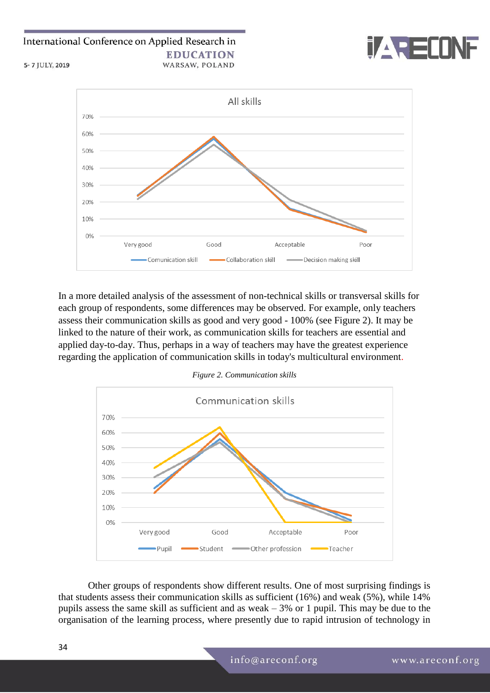

5-7 JULY, 2019



In a more detailed analysis of the assessment of non-technical skills or transversal skills for each group of respondents, some differences may be observed. For example, only teachers assess their communication skills as good and very good - 100% (see Figure 2). It may be linked to the nature of their work, as communication skills for teachers are essential and applied day-to-day. Thus, perhaps in a way of teachers may have the greatest experience regarding the application of communication skills in today's multicultural environment.



Other groups of respondents show different results. One of most surprising findings is that students assess their communication skills as sufficient (16%) and weak (5%), while 14% pupils assess the same skill as sufficient and as weak  $-3\%$  or 1 pupil. This may be due to the organisation of the learning process, where presently due to rapid intrusion of technology in

*Figure 2. Communication skills*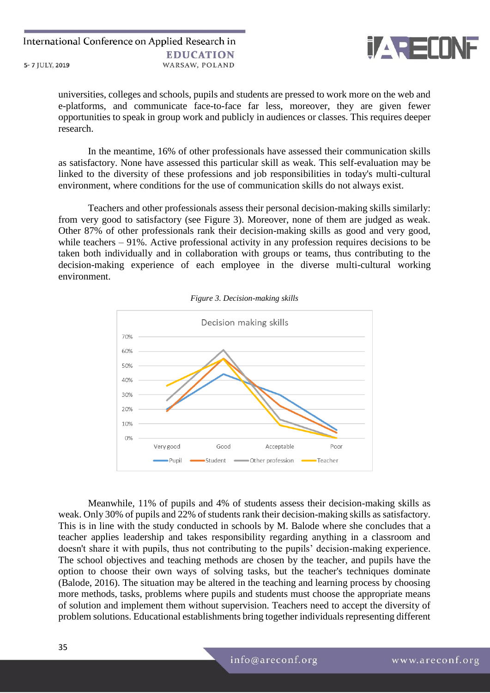

universities, colleges and schools, pupils and students are pressed to work more on the web and e-platforms, and communicate face-to-face far less, moreover, they are given fewer opportunities to speak in group work and publicly in audiences or classes. This requires deeper research.

In the meantime, 16% of other professionals have assessed their communication skills as satisfactory. None have assessed this particular skill as weak. This self-evaluation may be linked to the diversity of these professions and job responsibilities in today's multi-cultural environment, where conditions for the use of communication skills do not always exist.

Teachers and other professionals assess their personal decision-making skills similarly: from very good to satisfactory (see Figure 3). Moreover, none of them are judged as weak. Other 87% of other professionals rank their decision-making skills as good and very good, while teachers – 91%. Active professional activity in any profession requires decisions to be taken both individually and in collaboration with groups or teams, thus contributing to the decision-making experience of each employee in the diverse multi-cultural working environment.





Meanwhile, 11% of pupils and 4% of students assess their decision-making skills as weak. Only 30% of pupils and 22% of students rank their decision-making skills as satisfactory. This is in line with the study conducted in schools by M. Balode where she concludes that a teacher applies leadership and takes responsibility regarding anything in a classroom and doesn't share it with pupils, thus not contributing to the pupils' decision-making experience. The school objectives and teaching methods are chosen by the teacher, and pupils have the option to choose their own ways of solving tasks, but the teacher's techniques dominate (Balode, 2016). The situation may be altered in the teaching and learning process by choosing more methods, tasks, problems where pupils and students must choose the appropriate means of solution and implement them without supervision. Teachers need to accept the diversity of problem solutions. Educational establishments bring together individuals representing different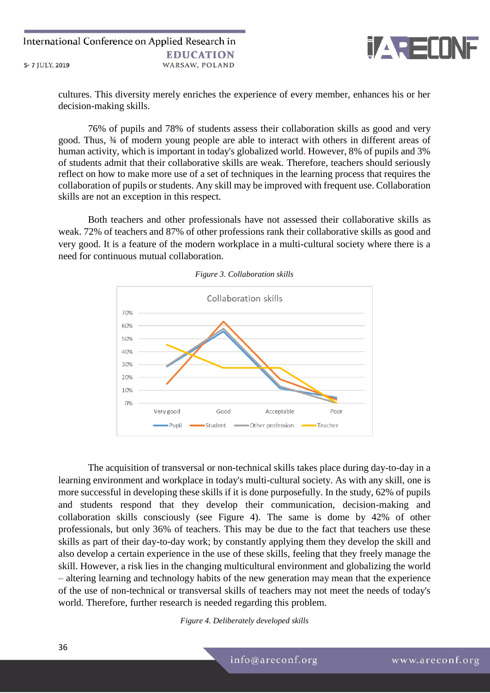

cultures. This diversity merely enriches the experience of every member, enhances his or her decision-making skills.

76% of pupils and 78% of students assess their collaboration skills as good and very good. Thus, ¾ of modern young people are able to interact with others in different areas of human activity, which is important in today's globalized world. However, 8% of pupils and 3% of students admit that their collaborative skills are weak. Therefore, teachers should seriously reflect on how to make more use of a set of techniques in the learning process that requires the collaboration of pupils or students. Any skill may be improved with frequent use. Collaboration skills are not an exception in this respect.

Both teachers and other professionals have not assessed their collaborative skills as weak. 72% of teachers and 87% of other professions rank their collaborative skills as good and very good. It is a feature of the modern workplace in a multi-cultural society where there is a need for continuous mutual collaboration.



*Figure 3. Collaboration skills*

The acquisition of transversal or non-technical skills takes place during day-to-day in a learning environment and workplace in today's multi-cultural society. As with any skill, one is more successful in developing these skills if it is done purposefully. In the study, 62% of pupils and students respond that they develop their communication, decision-making and collaboration skills consciously (see Figure 4). The same is dome by 42% of other professionals, but only 36% of teachers. This may be due to the fact that teachers use these skills as part of their day-to-day work; by constantly applying them they develop the skill and also develop a certain experience in the use of these skills, feeling that they freely manage the skill. However, a risk lies in the changing multicultural environment and globalizing the world – altering learning and technology habits of the new generation may mean that the experience of the use of non-technical or transversal skills of teachers may not meet the needs of today's world. Therefore, further research is needed regarding this problem.

*Figure 4. Deliberately developed skills*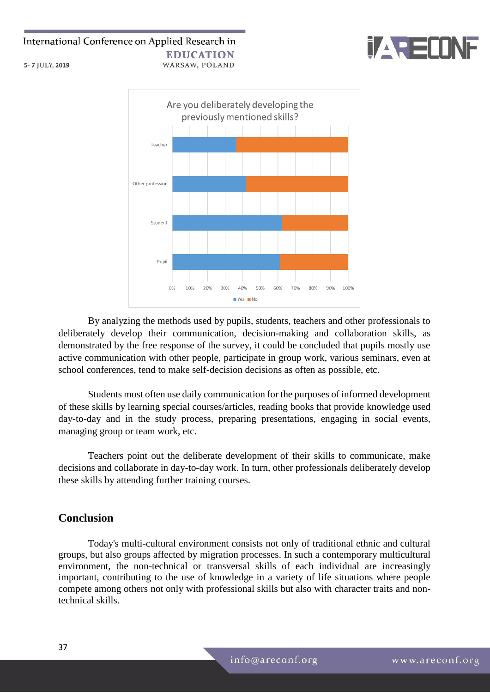



By analyzing the methods used by pupils, students, teachers and other professionals to deliberately develop their communication, decision-making and collaboration skills, as demonstrated by the free response of the survey, it could be concluded that pupils mostly use active communication with other people, participate in group work, various seminars, even at school conferences, tend to make self-decision decisions as often as possible, etc.

Students most often use daily communication for the purposes of informed development of these skills by learning special courses/articles, reading books that provide knowledge used day-to-day and in the study process, preparing presentations, engaging in social events, managing group or team work, etc.

Teachers point out the deliberate development of their skills to communicate, make decisions and collaborate in day-to-day work. In turn, other professionals deliberately develop these skills by attending further training courses.

### **Conclusion**

Today's multi-cultural environment consists not only of traditional ethnic and cultural groups, but also groups affected by migration processes. In such a contemporary multicultural environment, the non-technical or transversal skills of each individual are increasingly important, contributing to the use of knowledge in a variety of life situations where people compete among others not only with professional skills but also with character traits and nontechnical skills.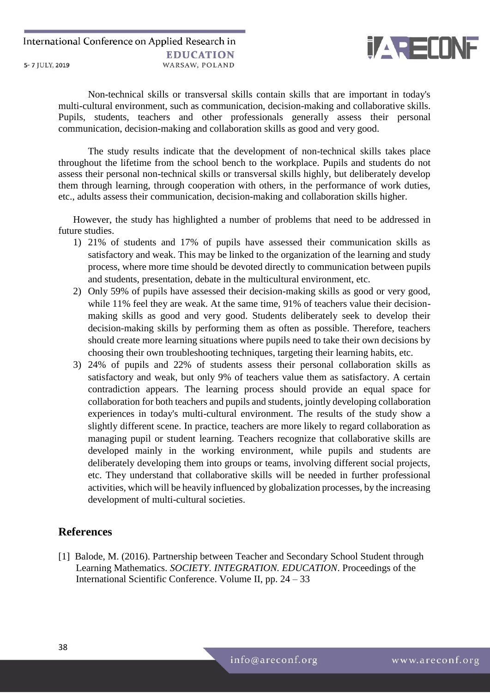

Non-technical skills or transversal skills contain skills that are important in today's multi-cultural environment, such as communication, decision-making and collaborative skills. Pupils, students, teachers and other professionals generally assess their personal communication, decision-making and collaboration skills as good and very good.

The study results indicate that the development of non-technical skills takes place throughout the lifetime from the school bench to the workplace. Pupils and students do not assess their personal non-technical skills or transversal skills highly, but deliberately develop them through learning, through cooperation with others, in the performance of work duties, etc., adults assess their communication, decision-making and collaboration skills higher.

However, the study has highlighted a number of problems that need to be addressed in future studies.

- 1) 21% of students and 17% of pupils have assessed their communication skills as satisfactory and weak. This may be linked to the organization of the learning and study process, where more time should be devoted directly to communication between pupils and students, presentation, debate in the multicultural environment, etc.
- 2) Only 59% of pupils have assessed their decision-making skills as good or very good, while 11% feel they are weak. At the same time, 91% of teachers value their decisionmaking skills as good and very good. Students deliberately seek to develop their decision-making skills by performing them as often as possible. Therefore, teachers should create more learning situations where pupils need to take their own decisions by choosing their own troubleshooting techniques, targeting their learning habits, etc.
- 3) 24% of pupils and 22% of students assess their personal collaboration skills as satisfactory and weak, but only 9% of teachers value them as satisfactory. A certain contradiction appears. The learning process should provide an equal space for collaboration for both teachers and pupils and students, jointly developing collaboration experiences in today's multi-cultural environment. The results of the study show a slightly different scene. In practice, teachers are more likely to regard collaboration as managing pupil or student learning. Teachers recognize that collaborative skills are developed mainly in the working environment, while pupils and students are deliberately developing them into groups or teams, involving different social projects, etc. They understand that collaborative skills will be needed in further professional activities, which will be heavily influenced by globalization processes, by the increasing development of multi-cultural societies.

### **References**

[1] Balode, M. (2016). Partnership between Teacher and Secondary School Student through Learning Mathematics. *SOCIETY. INTEGRATION. EDUCATION*. Proceedings of the International Scientific Conference. Volume II, pp. 24 – 33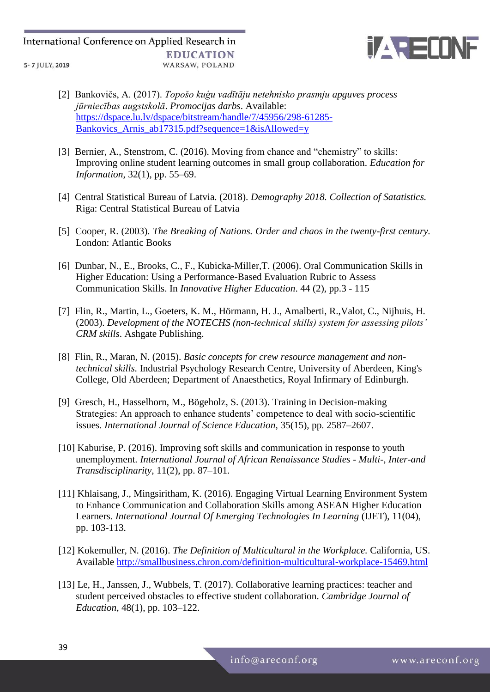

- [2] Bankovičs, A. (2017). *Topošo kuģu vadītāju netehnisko prasmju apguves process jūrniecības augstskolā*. *Promocijas darbs*. Available: [https://dspace.lu.lv/dspace/bitstream/handle/7/45956/298-61285-](https://dspace.lu.lv/dspace/bitstream/handle/7/45956/298-61285-Bankovics_Arnis_ab17315.pdf?sequence=1&isAllowed=y) Bankovics Arnis ab17315.pdf?sequence=1&isAllowed=y
- [3] Bernier, A., Stenstrom, C. (2016). Moving from chance and "chemistry" to skills: Improving online student learning outcomes in small group collaboration. *Education for Information*, 32(1), pp. 55–69.
- [4] Central Statistical Bureau of Latvia. (2018). *Demography 2018. Collection of Satatistics.* Riga: Central Statistical Bureau of Latvia
- [5] Cooper, R. (2003). *The Breaking of Nations. Order and chaos in the twenty-first century.* London: Atlantic Books
- [6] Dunbar, N., E., Brooks, C., F., Kubicka-Miller,T. (2006). Oral Communication Skills in Higher Education: Using a Performance-Based Evaluation Rubric to Assess Communication Skills. In *Innovative Higher Education*. 44 (2), pp.3 - 115
- [7] Flin, R., Martin, L., Goeters, K. M., Hörmann, H. J., Amalberti, R.,Valot, C., Nijhuis, H. (2003). *Development of the NOTECHS (non-technical skills) system for assessing pilots' CRM skills*. Ashgate Publishing.
- [8] Flin, R., Maran, N. (2015). *Basic concepts for crew resource management and nontechnical skills.* Industrial Psychology Research Centre, University of Aberdeen, King's College, Old Aberdeen; Department of Anaesthetics, Royal Infirmary of Edinburgh.
- [9] Gresch, H., Hasselhorn, M., Bögeholz, S. (2013). Training in Decision-making Strategies: An approach to enhance students' competence to deal with socio-scientific issues*. International Journal of Science Education,* 35(15), pp. 2587–2607.
- [10] Kaburise, P. (2016). Improving soft skills and communication in response to youth unemployment. *International Journal of African Renaissance Studies - Multi-, Inter-and Transdisciplinarity*, 11(2), pp. 87–101.
- [11] Khlaisang, J., Mingsiritham, K. (2016). Engaging Virtual Learning Environment System to Enhance Communication and Collaboration Skills among ASEAN Higher Education Learners. *International Journal Of Emerging Technologies In Learning* (IJET), 11(04), pp. 103-113.
- [12] Kokemuller, N. (2016). *The Definition of Multicultural in the Workplace.* California, US. Available<http://smallbusiness.chron.com/definition-multicultural-workplace-15469.html>
- [13] Le, H., Janssen, J., Wubbels, T. (2017). Collaborative learning practices: teacher and student perceived obstacles to effective student collaboration. *Cambridge Journal of Education*, 48(1), pp. 103–122.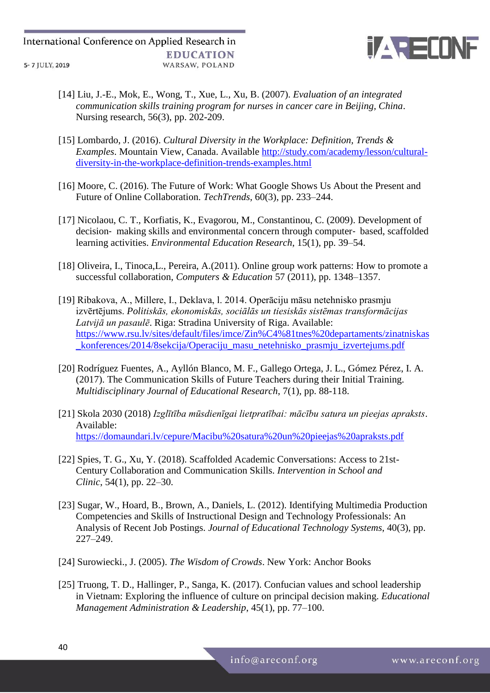

- [14] Liu, J.-E., Mok, E., Wong, T., Xue, L., Xu, B. (2007). *Evaluation of an integrated communication skills training program for nurses in cancer care in Beijing, China*. Nursing research, 56(3), pp. 202-209.
- [15] Lombardo, J. (2016). *Cultural Diversity in the Workplace: Definition, Trends & Examples*. Mountain View, Canada. Available [http://study.com/academy/lesson/cultural](http://study.com/academy/lesson/cultural-diversity-in-the-workplace-definition-trends-examples.html)[diversity-in-the-workplace-definition-trends-examples.html](http://study.com/academy/lesson/cultural-diversity-in-the-workplace-definition-trends-examples.html)
- [16] Moore, C. (2016). The Future of Work: What Google Shows Us About the Present and Future of Online Collaboration. *TechTrends*, 60(3), pp. 233–244.
- [17] Nicolaou, C. T., Korfiatis, K., Evagorou, M., Constantinou, C. (2009). Development of decision‐ making skills and environmental concern through computer‐ based, scaffolded learning activities. *Environmental Education Research*, 15(1), pp. 39–54.
- [18] Oliveira, I., Tinoca, L., Pereira, A.(2011). Online group work patterns: How to promote a successful collaboration, *Computers & Education* 57 (2011), pp. 1348–1357.
- [19] Ribakova, A., Millere, I., Deklava, l. 2014. Operāciju māsu netehnisko prasmju izvērtējums. *Politiskās, ekonomiskās, sociālās un tiesiskās sistēmas transformācijas Latvijā un pasaulē*. Riga: Stradina University of Riga. Available: [https://www.rsu.lv/sites/default/files/imce/Zin%C4%81tnes%20departaments/zinatniskas](https://www.rsu.lv/sites/default/files/imce/Zin%C4%81tnes%20departaments/zinatniskas_konferences/2014/8sekcija/Operaciju_masu_netehnisko_prasmju_izvertejums.pdf) [\\_konferences/2014/8sekcija/Operaciju\\_masu\\_netehnisko\\_prasmju\\_izvertejums.pdf](https://www.rsu.lv/sites/default/files/imce/Zin%C4%81tnes%20departaments/zinatniskas_konferences/2014/8sekcija/Operaciju_masu_netehnisko_prasmju_izvertejums.pdf)
- [20] Rodríguez Fuentes, A., Ayllón Blanco, M. F., Gallego Ortega, J. L., Gómez Pérez, I. A. (2017). The Communication Skills of Future Teachers during their Initial Training. *Multidisciplinary Journal of Educational Research*, 7(1), pp. 88-118.
- [21] Skola 2030 (2018) *Izglītība mūsdienīgai lietpratībai: mācību satura un pieejas apraksts*. Available: <https://domaundari.lv/cepure/Macibu%20satura%20un%20pieejas%20apraksts.pdf>
- [22] Spies, T. G., Xu, Y. (2018). Scaffolded Academic Conversations: Access to 21st-Century Collaboration and Communication Skills. *Intervention in School and Clinic*, 54(1), pp. 22–30.
- [23] Sugar, W., Hoard, B., Brown, A., Daniels, L. (2012). Identifying Multimedia Production Competencies and Skills of Instructional Design and Technology Professionals: An Analysis of Recent Job Postings. *Journal of Educational Technology Systems*, 40(3), pp. 227–249.
- [24] Surowiecki., J. (2005). *The Wisdom of Crowds*. New York: Anchor Books
- [25] Truong, T. D., Hallinger, P., Sanga, K. (2017). Confucian values and school leadership in Vietnam: Exploring the influence of culture on principal decision making. *Educational Management Administration & Leadership*, 45(1), pp. 77–100.